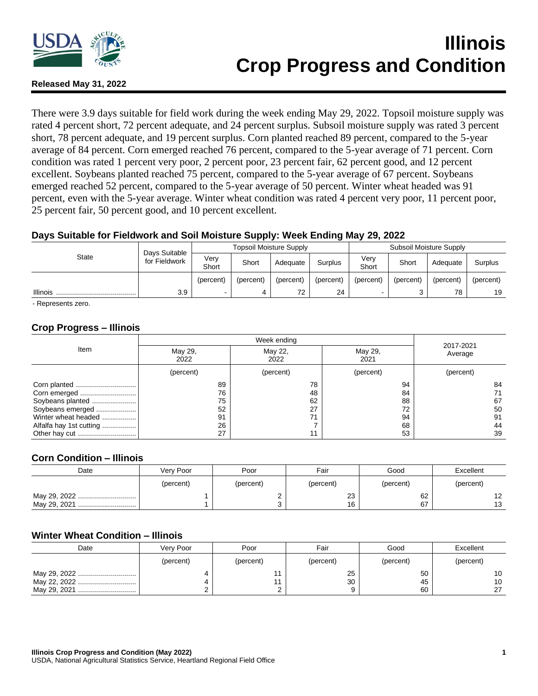

# **Illinois Crop Progress and Condition**

## **Released May 31, 2022**

There were 3.9 days suitable for field work during the week ending May 29, 2022. Topsoil moisture supply was rated 4 percent short, 72 percent adequate, and 24 percent surplus. Subsoil moisture supply was rated 3 percent short, 78 percent adequate, and 19 percent surplus. Corn planted reached 89 percent, compared to the 5-year average of 84 percent. Corn emerged reached 76 percent, compared to the 5-year average of 71 percent. Corn condition was rated 1 percent very poor, 2 percent poor, 23 percent fair, 62 percent good, and 12 percent excellent. Soybeans planted reached 75 percent, compared to the 5-year average of 67 percent. Soybeans emerged reached 52 percent, compared to the 5-year average of 50 percent. Winter wheat headed was 91 percent, even with the 5-year average. Winter wheat condition was rated 4 percent very poor, 11 percent poor, 25 percent fair, 50 percent good, and 10 percent excellent.

## **Days Suitable for Fieldwork and Soil Moisture Supply: Week Ending May 29, 2022**

| <b>State</b>    | Days Suitable | <b>Topsoil Moisture Supply</b> |           |           |                | Subsoil Moisture Supply |           |           |           |
|-----------------|---------------|--------------------------------|-----------|-----------|----------------|-------------------------|-----------|-----------|-----------|
|                 | for Fieldwork | Verv<br>Short                  | Short     | Adequate  | <b>Surplus</b> | Very<br>Short           | Short     | Adequate  | Surplus   |
|                 |               | (percent)                      | (percent) | (percent) | (percent)      | (percent)               | (percent) | (percent) | (percent) |
| <b>Illinois</b> | 3.9           |                                |           | 72        | 24             |                         |           | 78        | 19        |

- Represents zero.

## **Crop Progress – Illinois**

| Item                    |                 | 2017-2021       |                 |           |
|-------------------------|-----------------|-----------------|-----------------|-----------|
|                         | May 29,<br>2022 | May 22,<br>2022 | May 29,<br>2021 | Average   |
|                         | (percent)       | (percent)       | (percent)       | (percent) |
| Corn planted            | 89              | 78              | 94              | 84        |
|                         | 76              | 48              | 84              |           |
| Soybeans planted        | 75              | 62              | 88              | 67        |
| Soybeans emerged        | 52              | 27              | 72              | 50        |
| Winter wheat headed     | 91              | 71              | 94              | 91        |
| Alfalfa hay 1st cutting | 26              |                 | 68              | 44        |
|                         | 27              | 11              | 53              | 39        |

#### **Corn Condition – Illinois**

| Date         | Verv Poor | Poor      | Fair      | Good      | Excellent |
|--------------|-----------|-----------|-----------|-----------|-----------|
|              | (percent) | (percent) | (percent) | (percent) | (percent) |
| May 29, 2022 |           |           | 23        | 62        | 1 2       |
| May 29, 2021 |           |           | 16        | 67        | 13        |

#### **Winter Wheat Condition – Illinois**

| Date                         | Very Poor | Poor      | Fair      | Good           | Excellent      |
|------------------------------|-----------|-----------|-----------|----------------|----------------|
|                              | (percent) | (percent) | (percent) | (percent)      | (percent)      |
| May 29, 2022<br>May 29, 2021 |           |           | 25<br>30  | 50<br>45<br>60 | 10<br>10<br>דר |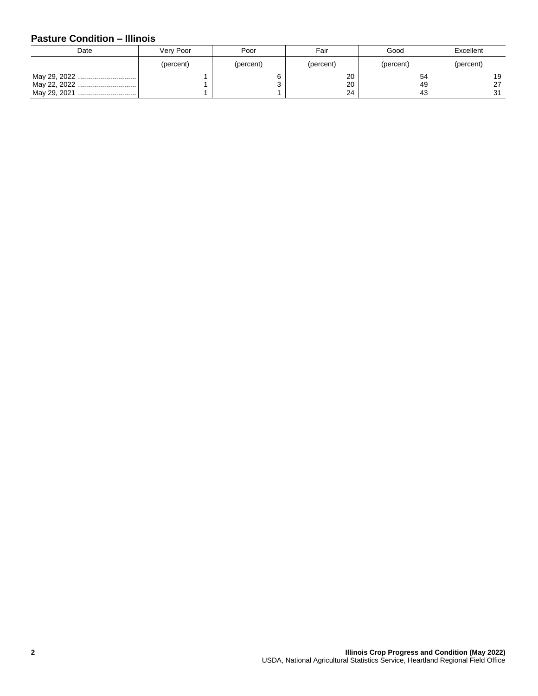# **Pasture Condition – Illinois**

| Date                         | Very Poor | Fair<br>Poor |                | Good           | Excellent      |
|------------------------------|-----------|--------------|----------------|----------------|----------------|
|                              | (percent) | (percent)    | (percent)      | (percent)      | (percent)      |
| May 29, 2022<br>May 29, 2021 |           |              | 20<br>20<br>24 | 54<br>49<br>43 | 19<br>27<br>31 |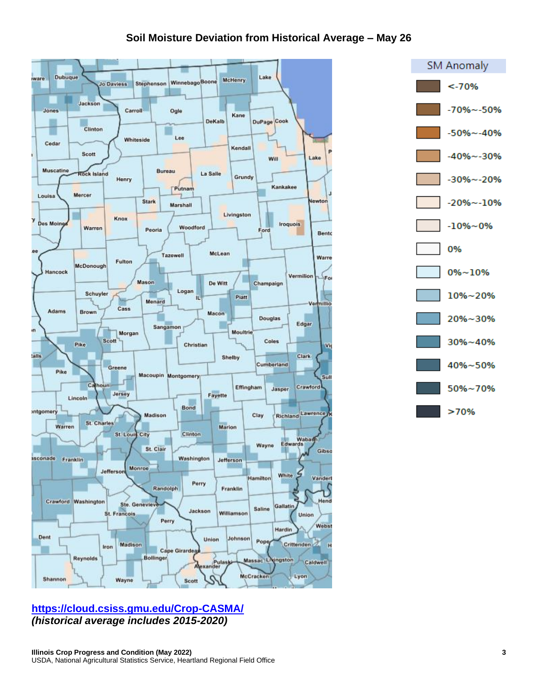# **Soil Moisture Deviation from Historical Average – May 26**